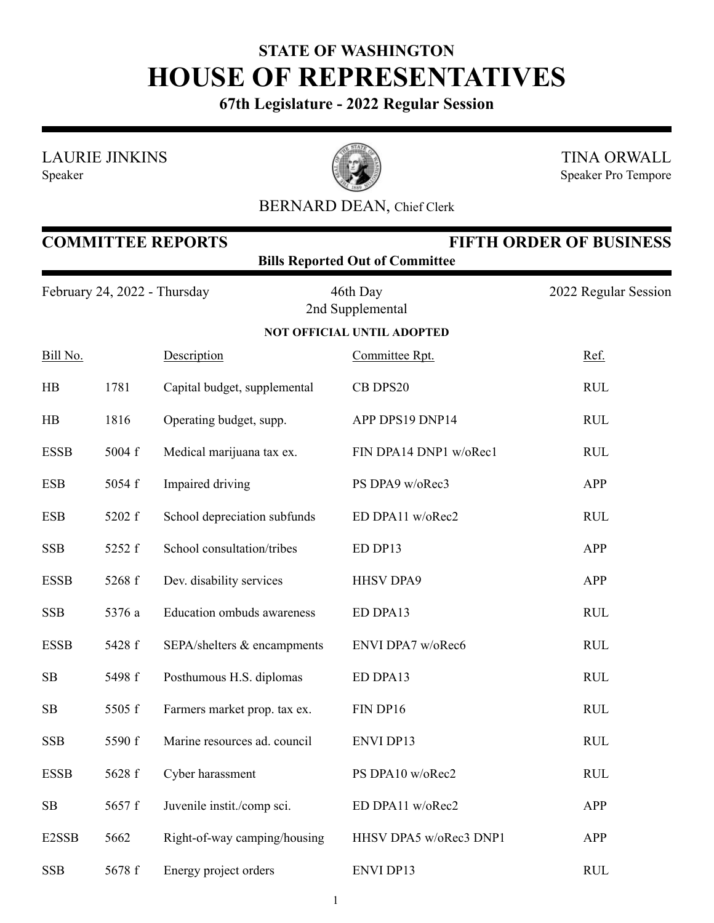## **STATE OF WASHINGTON HOUSE OF REPRESENTATIVES**

**67th Legislature - 2022 Regular Session**

LAURIE JINKINS





TINA ORWALL Speaker Pro Tempore

## BERNARD DEAN, Chief Clerk

| <b>COMMITTEE REPORTS</b><br><b>FIFTH ORDER OF BUSINESS</b><br><b>Bills Reported Out of Committee</b> |        |                                   |                              |                      |  |  |  |  |  |
|------------------------------------------------------------------------------------------------------|--------|-----------------------------------|------------------------------|----------------------|--|--|--|--|--|
| February 24, 2022 - Thursday                                                                         |        |                                   | 46th Day<br>2nd Supplemental | 2022 Regular Session |  |  |  |  |  |
| <b>NOT OFFICIAL UNTIL ADOPTED</b>                                                                    |        |                                   |                              |                      |  |  |  |  |  |
| Bill No.                                                                                             |        | Description                       | Committee Rpt.               | Ref.                 |  |  |  |  |  |
| HB                                                                                                   | 1781   | Capital budget, supplemental      | CB DPS20                     | <b>RUL</b>           |  |  |  |  |  |
| HB                                                                                                   | 1816   | Operating budget, supp.           | APP DPS19 DNP14              | <b>RUL</b>           |  |  |  |  |  |
| <b>ESSB</b>                                                                                          | 5004 f | Medical marijuana tax ex.         | FIN DPA14 DNP1 w/oRec1       | <b>RUL</b>           |  |  |  |  |  |
| <b>ESB</b>                                                                                           | 5054 f | Impaired driving                  | PS DPA9 w/oRec3              | <b>APP</b>           |  |  |  |  |  |
| <b>ESB</b>                                                                                           | 5202 f | School depreciation subfunds      | ED DPA11 w/oRec2             | <b>RUL</b>           |  |  |  |  |  |
| <b>SSB</b>                                                                                           | 5252 f | School consultation/tribes        | ED DP13                      | APP                  |  |  |  |  |  |
| <b>ESSB</b>                                                                                          | 5268 f | Dev. disability services          | <b>HHSV DPA9</b>             | <b>APP</b>           |  |  |  |  |  |
| <b>SSB</b>                                                                                           | 5376 a | <b>Education ombuds awareness</b> | ED DPA13                     | <b>RUL</b>           |  |  |  |  |  |
| <b>ESSB</b>                                                                                          | 5428 f | SEPA/shelters & encampments       | ENVI DPA7 w/oRec6            | <b>RUL</b>           |  |  |  |  |  |
| SB                                                                                                   | 5498 f | Posthumous H.S. diplomas          | ED DPA13                     | <b>RUL</b>           |  |  |  |  |  |
| SB                                                                                                   | 5505 f | Farmers market prop. tax ex.      | FIN DP16                     | <b>RUL</b>           |  |  |  |  |  |
| <b>SSB</b>                                                                                           | 5590 f | Marine resources ad. council      | <b>ENVI DP13</b>             | <b>RUL</b>           |  |  |  |  |  |
| <b>ESSB</b>                                                                                          | 5628 f | Cyber harassment                  | PS DPA10 w/oRec2             | <b>RUL</b>           |  |  |  |  |  |
| SB                                                                                                   | 5657 f | Juvenile instit./comp sci.        | ED DPA11 w/oRec2             | APP                  |  |  |  |  |  |
| E2SSB                                                                                                | 5662   | Right-of-way camping/housing      | HHSV DPA5 w/oRec3 DNP1       | <b>APP</b>           |  |  |  |  |  |
| <b>SSB</b>                                                                                           | 5678 f | Energy project orders             | ENVI DP13                    | <b>RUL</b>           |  |  |  |  |  |